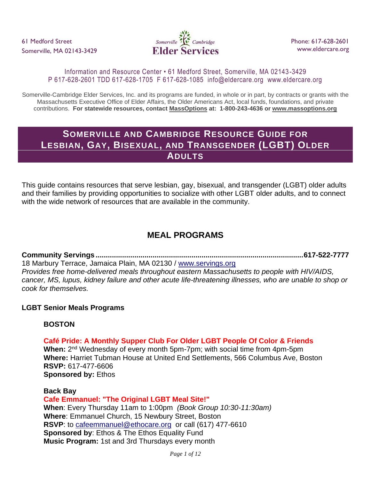

### Information and Resource Center • 61 Medford Street, Somerville, MA 02143 -3429 P 617-628-2601 TDD 617-628-1705 F 617-628-1085 info@eldercare.org www.eldercare.org

Somerville-Cambridge Elder Services, Inc. and its programs are funded, in whole or in part, by contracts or grants with the Massachusetts Executive Office of Elder Affairs, the Older Americans Act, local funds, foundations, and private contributions. **For statewide resources, contact MassOptions at: 1-800-243-4636 or www.massoptions.org**

# **SOMERVILLE AND CAMBRIDGE RESOURCE GUIDE FOR LESBIAN, GAY, BISEXUAL, AND TRANSGENDER (LGBT) OLDER ADULTS**

This guide contains resources that serve lesbian, gay, bisexual, and transgender (LGBT) older adults and their families by providing opportunities to socialize with other LGBT older adults, and to connect with the wide network of resources that are available in the community.

# **MEAL PROGRAMS**

**Community Servings ......................................................................................................617-522-7777** 18 Marbury Terrace, Jamaica Plain, MA 02130 / [www.servings.org](http://www.servings.org/) *Provides free home-delivered meals throughout eastern Massachusetts to people with HIV/AIDS, cancer, MS, lupus, kidney failure and other acute life-threatening illnesses, who are unable to shop or cook for themselves.*

### **LGBT Senior Meals Programs**

## **BOSTON**

## **Café Pride: A Monthly Supper Club For Older LGBT People Of Color & Friends**

When: 2<sup>nd</sup> Wednesday of every month 5pm-7pm; with social time from 4pm-5pm **Where:** Harriet Tubman House at United End Settlements, 566 Columbus Ave, Boston **RSVP:** 617-477-6606 **Sponsored by:** Ethos

## **Back Bay Cafe Emmanuel: "The Original LGBT Meal Site!" When**: Every Thursday 11am to 1:00pm *(Book Group 10:30-11:30am)* **Where**: Emmanuel Church, 15 Newbury Street, Boston **RSVP**: to [cafeemmanuel@ethocare.org](mailto:cafeemmanual@ethocare.org) or call (617) 477-6610 **Sponsored by**: Ethos & The Ethos Equality Fund **Music Program:** 1st and 3rd Thursdays every month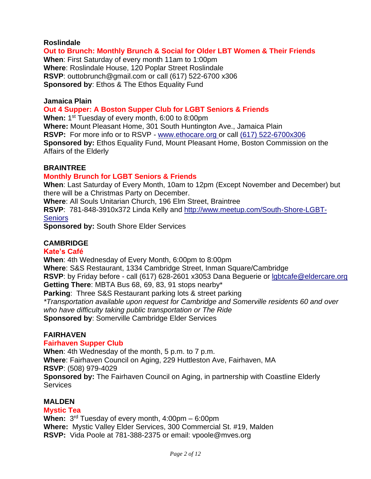#### **Roslindale**

### **Out to Brunch: Monthly Brunch & Social for Older LBT Women & Their Friends**

**When**: First Saturday of every month 11am to 1:00pm **Where**: Roslindale House, 120 Poplar Street Roslindale **RSVP**: outtobrunch@gmail.com or call (617) 522-6700 x306 **Sponsored by**: Ethos & The Ethos Equality Fund

#### **Jamaica Plain**

#### **Out 4 Supper: A Boston Supper Club for LGBT Seniors & Friends**

When: 1<sup>st</sup> Tuesday of every month, 6:00 to 8:00pm

**Where:** Mount Pleasant Home, 301 South Huntington Ave., Jamaica Plain **RSVP:** For more info or to RSVP - [www.ethocare.org o](http://r20.rs6.net/tn.jsp?e=00117viN8TZ6JMaD-CMDdtg5ZaQJNlpgERsPORicoyUToY8FmnxeRe551lRVpVYrSjmGXaCC1_qeuX27AlQ9B7Ujr3wzvxh1QX2FuDHKkvYvANr2SmtU0dkYKNXY0sCTPn9dPX4R8HGdbsGXNXfAzeF0j6iALmWIVhtAirCeP7ASkrGsQ3WTd0XkzWYbCkrwoy8tyDW9b3VC1ZWn3diO8OzF0bZJrcc77o5ta1gcTY4v5g=)r call [\(617\) 522-6700x306](tel:%28617%29%20522-6700x306) **Sponsored by:** Ethos Equality Fund, Mount Pleasant Home, Boston Commission on the Affairs of the Elderly

#### **BRAINTREE**

### **Monthly Brunch for LGBT Seniors & Friends**

**When**: Last Saturday of Every Month, 10am to 12pm (Except November and December) but there will be a Christmas Party on December.

**Where**: All Souls Unitarian Church, 196 Elm Street, Braintree

**RSVP**: 781-848-3910x372 Linda Kelly and [http://www.meetup.com/South-Shore-LGBT-](http://www.meetup.com/South-Shore-LGBT-Seniors)**[Seniors](http://www.meetup.com/South-Shore-LGBT-Seniors)** 

**Sponsored by:** South Shore Elder Services

### **CAMBRIDGE**

#### **Kate's Café**

**When**: 4th Wednesday of Every Month, 6:00pm to 8:00pm

**Where**: S&S Restaurant, 1334 Cambridge Street, Inman Square/Cambridge

**RSVP**: by Friday before - call (617) 628-2601 x3053 Dana Beguerie or [lgbtcafe@eldercare.org](mailto:lgbtcafe@eldercare.org) **Getting There**: MBTA Bus 68, 69, 83, 91 stops nearby\*

**Parking**: Three S&S Restaurant parking lots & street parking *\*Transportation available upon request for Cambridge and Somerville residents 60 and over who have difficulty taking public transportation or The Ride* **Sponsored by**: Somerville Cambridge Elder Services

### **FAIRHAVEN**

### **Fairhaven Supper Club**

**When**: 4th Wednesday of the month, 5 p.m. to 7 p.m. **Where**: Fairhaven Council on Aging, 229 Huttleston Ave, Fairhaven, MA **RSVP**: (508) 979-4029 **Sponsored by:** The Fairhaven Council on Aging, in partnership with Coastline Elderly Services

### **MALDEN**

### **Mystic Tea**

**When:** 3 rd Tuesday of every month, 4:00pm – 6:00pm **Where:** Mystic Valley Elder Services, 300 Commercial St. #19, Malden **RSVP:** Vida Poole at 781-388-2375 or email: vpoole@mves.org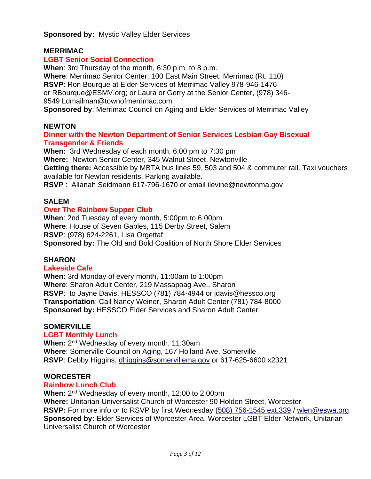**Sponsored by: Mystic Valley Elder Services** 

### **MERRIMAC**

### **LGBT Senior Social Connection**

**When**: 3rd Thursday of the month, 6:30 p.m. to 8 p.m. **Where**: Merrimac Senior Center, 100 East Main Street, Merrimac (Rt. 110) **RSVP**: Ron Bourque at Elder Services of Merrimac Valley 978-946-1476 or RBourque@ESMV.org; or Laura or Gerry at the Senior Center, (978) 346- 9549 Ldmailman@townofmerrimac.com **Sponsored by**: Merrimac Council on Aging and Elder Services of Merrimac Valley

### **NEWTON**

### **Dinner with the Newton Department of Senior Services Lesbian Gay Bisexual Transgender & Friends**

**When:** 3rd Wednesday of each month, 6:00 pm to 7:30 pm **Where:** Newton Senior Center, 345 Walnut Street, Newtonville **Getting there:** Accessible by MBTA bus lines 59, 503 and 504 & commuter rail. Taxi vouchers available for Newton residents. Parking available. **RSVP** : Allanah Seidmann 617-796-1670 or email ilevine@newtonma.gov

### **SALEM**

### **Over The Rainbow Supper Club**

**When**: 2nd Tuesday of every month, 5:00pm to 6:00pm **Where**: House of Seven Gables, 115 Derby Street, Salem **RSVP**: (978) 624-2261, Lisa Orgettaf **Sponsored by:** The Old and Bold Coalition of North Shore Elder Services

### **SHARON**

### **Lakeside Cafe**

**When:** 3rd Monday of every month, 11:00am to 1:00pm **Where**: Sharon Adult Center, 219 Massapoag Ave., Sharon **RSVP**: to Jayne Davis, HESSCO (781) 784-4944 or jdavis@hessco.org **Transportation**: Call Nancy Weiner, Sharon Adult Center (781) 784-8000 **Sponsored by:** HESSCO Elder Services and Sharon Adult Center

### **SOMERVILLE**

### **LGBT Monthly Lunch**

When: 2<sup>nd</sup> Wednesday of every month, 11:30am **Where**: Somerville Council on Aging, 167 Holland Ave, Somerville **RSVP**: Debby Higgins, [dhiggins@somervillema.gov](mailto:dhiggins@somervillema.gov) or 617-625-6600 x2321

### **WORCESTER**

### **Rainbow Lunch Club**

When: 2<sup>nd</sup> Wednesday of every month, 12:00 to 2:00pm **Where:** Unitarian Universalist Church of Worcester 90 Holden Street, Worcester **RSVP:** For more info or to RSVP by first Wednesday [\(508\) 756-1545 ext.339](tel:%28508%29%20756-1545%20ext.339) / [wlen@eswa.org](mailto:wlen@eswa.org) **Sponsored by:** Elder Services of Worcester Area, Worcester LGBT Elder Network, Unitarian Universalist Church of Worcester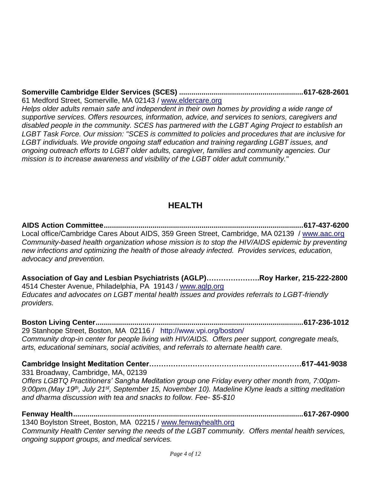**Somerville Cambridge Elder Services (SCES) .............................................................617-628-2601** 61 Medford Street, Somerville, MA 02143 / [www.eldercare.org](http://www.eldercare.org/) *Helps older adults remain safe and independent in their own homes by providing a wide range of supportive services. Offers resources, information, advice, and services to seniors, caregivers and*  disabled people in the community. SCES has partnered with the LGBT Aging Project to establish an *LGBT Task Force. Our mission: "SCES is committed to policies and procedures that are inclusive for LGBT individuals. We provide ongoing staff education and training regarding LGBT issues, and ongoing outreach efforts to LGBT older adults, caregiver, families and community agencies. Our mission is to increase awareness and visibility of the LGBT older adult community."*

# **HEALTH**

**AIDS Action Committee..................................................................................................617-437-6200** Local office/Cambridge Cares About AIDS, 359 Green Street, Cambridge, MA 02139 / [www.aac.org](http://www.aac.org/) *Community-based health organization whose mission is to stop the HIV/AIDS epidemic by preventing new infections and optimizing the health of those already infected. Provides services, education, advocacy and prevention.*

**Association of Gay and Lesbian Psychiatrists (AGLP)………………….Roy Harker, 215-222-2800** 4514 Chester Avenue, Philadelphia, PA 19143 / [www.aglp.org](http://www.aglp.org/) *Educates and advocates on LGBT mental health issues and provides referrals to LGBT-friendly providers.*

**Boston Living Center......................................................................................................617-236-1012** 29 Stanhope Street, Boston, MA 02116 / http://www.vpi.org/boston/ *Community drop-in center for people living with HIV/AIDS. Offers peer support, congregate meals, arts, educational seminars, social activities, and referrals to alternate health care.*

**Cambridge Insight Meditation Center………………………………………………………617-441-9038** 331 Broadway, Cambridge, MA, 02139 *Offers LGBTQ Practitioners' Sangha Meditation group one Friday every other month from, 7:00pm-9:00pm.(May 19th, July 21st, September 15, November 10). Madeline Klyne leads a sitting meditation and dharma discussion with tea and snacks to follow. Fee- \$5-\$10*

**Fenway Health.................................................................................................................617-267-0900** 1340 Boylston Street, Boston, MA 02215 / [www.fenwayhealth.org](http://www.fenwayhealth.org/) *Community Health Center serving the needs of the LGBT community. Offers mental health services, ongoing support groups, and medical services.*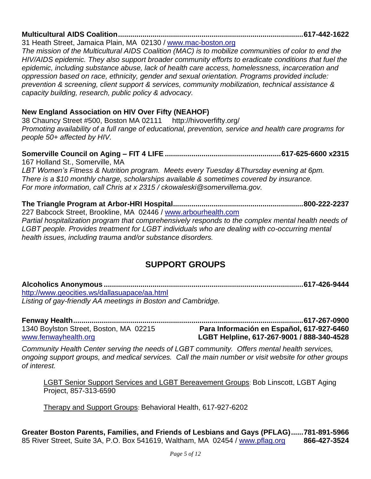# **Multicultural AIDS Coalition...........................................................................................617-442-1622**

31 Heath Street, Jamaica Plain, MA 02130 / [www.mac-boston.org](http://www.mac-boston.org/)

*The mission of the Multicultural AIDS Coalition (MAC) is to mobilize communities of color to end the HIV/AIDS epidemic. They also support broader community efforts to eradicate conditions that fuel the epidemic, including substance abuse, lack of health care access, homelessness, incarceration and oppression based on race, ethnicity, gender and sexual orientation. Programs provided include: prevention & screening, client support & services, community mobilization, technical assistance & capacity building, research, public policy & advocacy.* 

## **New England Association on HIV Over Fifty (NEAHOF)**

38 Chauncy Street #500, Boston MA 02111 http://hivoverfifty.org/ *Promoting availability of a full range of educational, prevention, service and health care programs for people 50+ affected by HIV.* 

#### **Somerville Council on Aging – FIT 4 LIFE .........................................................617-625-6600 x2315** 167 Holland St., Somerville, MA

*LBT Women's Fitness & Nutrition program. Meets every Tuesday &Thursday evening at 6pm. There is a \$10 monthly charge, scholarships available & sometimes covered by insurance. For more information, call Chris at x 2315 / ckowaleski@somervillema.gov.*

**The Triangle Program at Arbor-HRI Hospital................................................................800-222-2237** 227 Babcock Street, Brookline, MA 02446 / [www.arbourhealth.com](http://www.arbourhealth.com/) *Partial hospitalization program that comprehensively responds to the complex mental health needs of LGBT people. Provides treatment for LGBT individuals who are dealing with co-occurring mental health issues, including trauma and/or substance disorders.*

## **SUPPORT GROUPS**

**Alcoholics Anonymous ..................................................................................................617-426-9444** http://www.geocities.ws/dallasuapace/aa.html *Listing of gay-friendly AA meetings in Boston and Cambridge.*

**Fenway Health.................................................................................................................617-267-0900** 1340 Boylston Street, Boston, MA 02215 **Para Información en Español, 617-927-6460** [www.fenwayhealth.org](http://www.fenwayhealth.org/) **LGBT Helpline, 617-267-9001 / 888-340-4528**

*Community Health Center serving the needs of LGBT community. Offers mental health services, ongoing support groups, and medical services. Call the main number or visit website for other groups of interest.*

LGBT Senior Support Services and LGBT Bereavement Groups: Bob Linscott, LGBT Aging Project, [857-313-6590](tel:8573136590)

Therapy and Support Groups: Behavioral Health, [617-927-6202](tel:6179276202)

**Greater Boston Parents, Families, and Friends of Lesbians and Gays (PFLAG)......781-891-5966** 85 River Street, Suite 3A, P.O. Box 541619, Waltham, MA 02454 / [www.pflag.org](http://www.pflag.org/) **866-427-3524**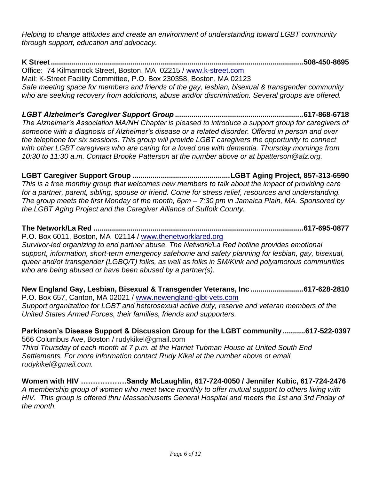*Helping to change attitudes and create an environment of understanding toward LGBT community through support, education and advocacy.*

**K Street............................................................................................................................508-450-8695** Office: 74 Kilmarnock Street, Boston, MA 02215 / [www.k-street.com](http://www.k-street.com/) Mail: K-Street Facility Committee, P.O. Box 230358, Boston, MA 02123 *Safe meeting space for members and friends of the gay, lesbian, bisexual & transgender community who are seeking recovery from addictions, abuse and/or discrimination. Several groups are offered.*

*LGBT Alzheimer's Caregiver Support Group* **..............................................................[.617-868-6718](tel:6178686718)** *The Alzheimer's Association MA/NH Chapter is pleased to introduce a support group for caregivers of someone with a diagnosis of Alzheimer's disease or a related disorder. Offered in person and over the telephone for six sessions. This group will provide LGBT caregivers the opportunity to connect with other LGBT caregivers who are caring for a loved one with dementia. Thursday mornings from 10:30 to 11:30 a.m. Contact Brooke Patterson at [the](tel:6178686718) number above or at [bpatterson@alz.org.](mailto:bpatterson@alz.org)*

**LGBT Caregiver Support Group ................................................LGBT Aging Project, 857-313-6590** *This is a free monthly group that welcomes new members to talk about the impact of providing care for a partner, parent, sibling, spouse or friend. Come for stress relief, resources and understanding. The group meets the first Monday of the month, 6pm – 7:30 pm in Jamaica Plain, MA. Sponsored by the LGBT Aging Project and the Caregiver Alliance of Suffolk County.*

**The Network/La Red .......................................................................................................617-695-0877** P.O. Box 6011, Boston, MA 02114 / [www.thenetworklared.org](http://www.thenetworklared.org/)

*Survivor-led organizing to end partner abuse. The Network/La Red hotline provides emotional support, information, short-term emergency safehome and safety planning for lesbian, gay, bisexual, queer and/or transgender (LGBQ/T) folks, as well as folks in SM/Kink and polyamorous communities who are being abused or have been abused by a partner(s).*

**New England Gay, Lesbian, Bisexual & Transgender Veterans, Inc ..........................617-628-2810** P.O. Box 657, Canton, MA 02021 / [www.newengland-glbt-vets.com](http://www.newengland-glbt-vets.com/) *Support organization for LGBT and heterosexual active duty, reserve and veteran members of the United States Armed Forces, their families, friends and supporters.*

## **Parkinson's Disease Support & Discussion Group for the LGBT community** *...........***[617-522-0397](tel:6175220397)**

566 Columbus Ave, Boston / [rudykikel@gmail.com](mailto:rudykikel@gmail.com) *Third Thursday of each month at 7 p.m. at the Harriet Tubman House at United South End Settlements. For more information contact Rudy Kikel at the number above or email [rudykikel@gmail.com.](mailto:rudykikel@gmail.com)*

**Women with HIV ……………….Sandy McLaughlin, 617-724-0050 / Jennifer Kubic, 617-724-2476**  *A membership group of women who meet twice monthly to offer mutual support to others living with HIV. This group is offered thru Massachusetts General Hospital and meets the 1st and 3rd Friday of the month.*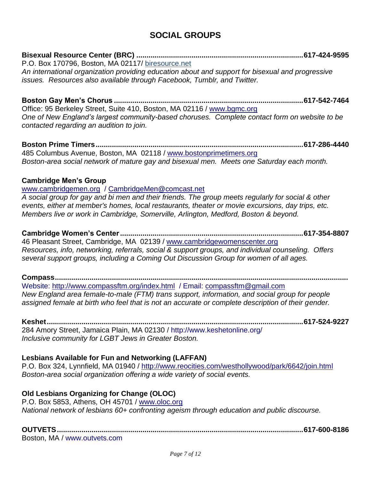## **SOCIAL GROUPS**

**Bisexual Resource Center (BRC) ..................................................................................617-424-9595** P.O. Box 170796, Boston, MA 02117/ biresource.net *An international organization providing education about and support for bisexual and progressive issues. Resources also available through Facebook, Tumblr, and Twitter.*

**Boston Gay Men's Chorus .............................................................................................617-542-7464** Office: 95 Berkeley Street, Suite 410, Boston, MA 02116 / [www.bgmc.org](http://www.bgmc.org/) *One of New England's largest community-based choruses. Complete contact form on website to be contacted regarding an audition to join.* 

**Boston Prime Timers......................................................................................................617-286-4440** 485 Columbus Avenue, Boston, MA 02118 / [www.bostonprimetimers.org](http://www.bostonprimetimers.org/) *Boston-area social network of mature gay and bisexual men. Meets one Saturday each month.*

### **Cambridge Men's Group**

[www.cambridgemen.org](http://www.cambridgemen.org/) / [CambridgeMen@comcast.net](mailto:CambridgeMen@comcast.net) *A social group for gay and bi men and their friends. The group meets regularly for social & other events, either at member's homes, local restaurants, theater or movie excursions, day trips, etc. Members live or work in Cambridge, Somerville, Arlington, Medford, Boston & beyond.*

**Cambridge Women's Center..........................................................................................617-354-8807** 46 Pleasant Street, Cambridge, MA 02139 / [www.cambridgewomenscenter.org](http://www.cambridgewomenscenter.org/) *Resources, info, networking, referrals, social & support groups, and individual counseling. Offers several support groups, including a Coming Out Discussion Group for women of all ages.*

**Compass................................................................................................................................................** Website:<http://www.compassftm.org/index.html> / Email: [compassftm@gmail.com](mailto:compassftm@gmail.com) *New England area female-to-male (FTM) trans support, information, and social group for people assigned female at birth who feel that is not an accurate or complete description of their gender.*

**Keshet..............................................................................................................................617-524-9227** 284 Amory Street, Jamaica Plain, MA 02130 / http://www.keshetonline.org/ *Inclusive community for LGBT Jews in Greater Boston.*

### **Lesbians Available for Fun and Networking (LAFFAN)**

P.O. Box 324, Lynnfield, MA 01940 /<http://www.reocities.com/westhollywood/park/6642/join.html> *Boston-area social organization offering a wide variety of social events.*

## **Old Lesbians Organizing for Change (OLOC)**

P.O. Box 5853, Athens, OH 45701 / [www.oloc.org](http://www.oloc.org/) *National network of lesbians 60+ confronting [ageism](http://www.oloc.org/resources/what_is_ageism.html) through education and public discourse.*

**OUTVETS.........................................................................................................................617-600-8186** Boston, MA / www.outvets.com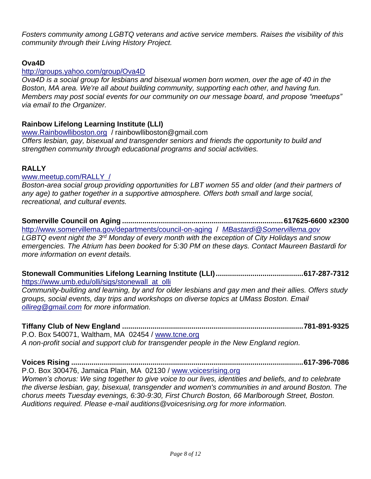*Fosters community among LGBTQ veterans and active service members. Raises the visibility of this community through their Living History Project.*

### **Ova4D**

### <http://groups.yahoo.com/group/Ova4D>

*Ova4D is a social group for lesbians and bisexual women born women, over the age of 40 in the Boston, MA area. We're all about building community, supporting each other, and having fun. Members may post social events for our community on our message board, and propose "meetups" via email to the Organizer.* 

### **Rainbow Lifelong Learning Institute (LLI)**

[www.Rainbowlliboston.org](http://www.rainbowlliboston.org/) / rainbowlliboston@gmail.com *Offers lesbian, gay, bisexual and transgender seniors and friends the opportunity to build and strengthen community through educational programs and social activities.* 

### **RALLY**

### [www.meetup.com/RALLY\\_/](http://www.meetup.com/RALLY_/)

*Boston-area social group providing opportunities for LBT women 55 and older (and their partners of any age) to gather together in a supportive atmosphere. Offers both small and large social, recreational, and cultural events.*

**Somerville Council on Aging ...............................................................................617625-6600 x2300** <http://www.somervillema.gov/departments/council-on-aging>/ *[MBastardi@Somervillema.gov](mailto:MBastardi@Somervillema.gov) LGBTQ event night the 3rd Monday of every month with the exception of City Holidays and snow emergencies. The Atrium has been booked for 5:30 PM on these days. Contact Maureen Bastardi for more information on event details.*

**Stonewall Communities Lifelong Learning Institute (LLI)...........................................617-287-7312** [https://www.umb.edu/olli/sigs/stonewall\\_at\\_olli](https://www.umb.edu/olli/sigs/stonewall_at_olli)

*Community-building and learning, by and for older lesbians and gay men and their allies. Offers study groups, social events, day trips and workshops on diverse topics at UMass Boston. Email [ollireg@gmail.com](mailto:ollireg@gmail.com) for more information.* 

**Tiffany Club of New England .........................................................................................781-891-9325** P.O. Box 540071, Waltham, MA 02454 / [www.tcne.org](http://www.tcne.org/) *A non-profit social and support club for transgender people in the New England region.*

**Voices Rising ..................................................................................................................617-396-7086** P.O. Box 300476, Jamaica Plain, MA 02130 / [www.voicesrising.org](http://www.voicesrising.org/) *Women's chorus: We sing together to give voice to our lives, identities and beliefs, and to celebrate the diverse lesbian, gay, bisexual, transgender and women's communities in and around Boston. The chorus meets Tuesday evenings, 6:30-9:30, First Church Boston, 66 Marlborough Street, Boston. Auditions required. Please e-mail auditions@voicesrising.org for more information.*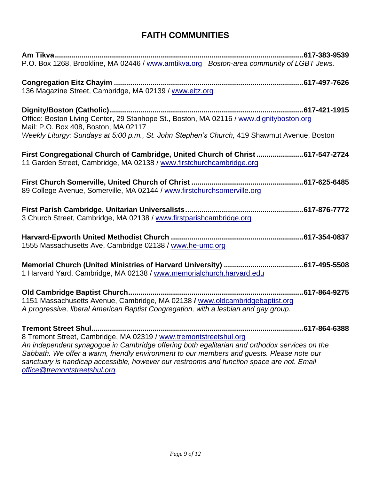# **FAITH COMMUNITIES**

| P.O. Box 1268, Brookline, MA 02446 / www.amtikva.org Boston-area community of LGBT Jews.                                                              |  |
|-------------------------------------------------------------------------------------------------------------------------------------------------------|--|
|                                                                                                                                                       |  |
| 136 Magazine Street, Cambridge, MA 02139 / www.eitz.org                                                                                               |  |
|                                                                                                                                                       |  |
| Office: Boston Living Center, 29 Stanhope St., Boston, MA 02116 / www.dignityboston.org<br>Mail: P.O. Box 408, Boston, MA 02117                       |  |
| Weekly Liturgy: Sundays at 5:00 p.m., St. John Stephen's Church, 419 Shawmut Avenue, Boston                                                           |  |
| First Congregational Church of Cambridge, United Church of Christ617-547-2724<br>11 Garden Street, Cambridge, MA 02138 / www.firstchurchcambridge.org |  |
|                                                                                                                                                       |  |
| 89 College Avenue, Somerville, MA 02144 / www.firstchurchsomerville.org                                                                               |  |
| 3 Church Street, Cambridge, MA 02138 / www.firstparishcambridge.org                                                                                   |  |
|                                                                                                                                                       |  |
| 1555 Massachusetts Ave, Cambridge 02138 / www.he-umc.org                                                                                              |  |
| 1 Harvard Yard, Cambridge, MA 02138 / www.memorialchurch.harvard.edu                                                                                  |  |
|                                                                                                                                                       |  |
|                                                                                                                                                       |  |
| 1151 Massachusetts Avenue, Cambridge, MA 02138 / www.oldcambridgebaptist.org                                                                          |  |
| A progressive, liberal American Baptist Congregation, with a lesbian and gay group.                                                                   |  |
|                                                                                                                                                       |  |
| 8 Tremont Street, Cambridge, MA 02319 / www.tremontstreetshul.org                                                                                     |  |
| An independent synagogue in Cambridge offering both egalitarian and orthodox services on the                                                          |  |
| Sabbath We offer a warm friendly environment to our members and quests. Please note our                                                               |  |

*Sabbath. We offer a warm, friendly environment to our members and guests. Please note our sanctuary is handicap accessible, however our restrooms and function space are not. Email [office@tremontstreetshul.org.](mailto:office@tremontstreetshul.org)*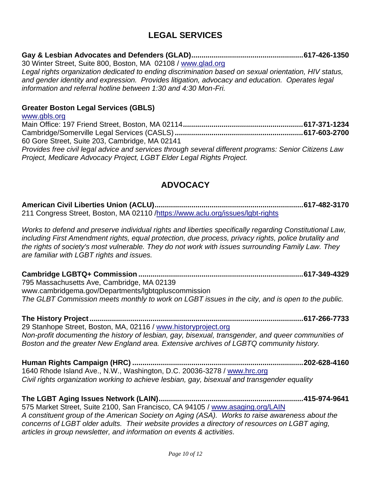## **LEGAL SERVICES**

## **Gay & Lesbian Advocates and Defenders (GLAD).......................................................617-426-1350**

30 Winter Street, Suite 800, Boston, MA 02108 / [www.glad.org](http://www.glad.org/) *Legal rights organization dedicated to ending discrimination based on sexual orientation, HIV status, and gender identity and expression. Provides litigation, advocacy and education. Operates legal information and referral hotline between 1:30 and 4:30 Mon-Fri.*

### **Greater Boston Legal Services (GBLS)**

[www.gbls.org](http://www.gbls.org/) Main Office: 197 Friend Street, Boston, MA 02114*...........................................................***617-371-1234** Cambridge/Somerville Legal Services (CASLS) *...............................................................***617-603-2700** 60 Gore Street, Suite 203, Cambridge, MA 02141 *Provides free civil legal advice and services through several different programs: Senior Citizens Law Project, Medicare Advocacy Project, LGBT Elder Legal Rights Project.* 

## **ADVOCACY**

**American Civil Liberties Union (ACLU).........................................................................617-482-3170** 211 Congress Street, Boston, MA 02110 [/https://www.aclu.org/issues/lgbt-rights](https://www.aclu.org/issues/lgbt-rights)

*Works to defend and preserve individual rights and liberties specifically regarding Constitutional Law, including First Amendment rights, equal protection, due process, privacy rights, police brutality and the rights of society's most vulnerable. They do not work with issues surrounding Family Law. They are familiar with LGBT rights and issues.* 

**Cambridge LGBTQ+ Commission .................................................................................617-349-4329** 795 Massachusetts Ave, Cambridge, MA 02139 www.cambridgema.gov/Departments/lgbtqpluscommission *The GLBT Commission meets monthly to work on LGBT issues in the city, and is open to the public.*

**The History Project.........................................................................................................617-266-7733** 29 Stanhope Street, Boston, MA, 02116 / [www.historyproject.org](http://www.historyproject.org/) *Non-profit documenting the history of lesbian, gay, bisexual, transgender, and queer communities of Boston and the greater New England area. Extensive archives of LGBTQ community history.*

**Human Rights Campaign (HRC) ....................................................................................202-628-4160** 1640 Rhode Island Ave., N.W., Washington, D.C. 20036-3278 / [www.hrc.org](http://www.hrc.org/) *Civil rights organization working to achieve lesbian, gay, bisexual and transgender equality*

**The LGBT Aging Issues Network (LAIN).......................................................................415-974-9641** 575 Market Street, Suite 2100, San Francisco, CA 94105 / [www.asaging.org/LAIN](http://www.asaging.org/LAIN) *A constituent group of the [American Society on Aging \(ASA\).](http://www.asaging.org/) Works to raise awareness about the concerns of LGBT older adults. Their website provides a directory of resources on LGBT aging, articles in group newsletter, and information on events & activities.*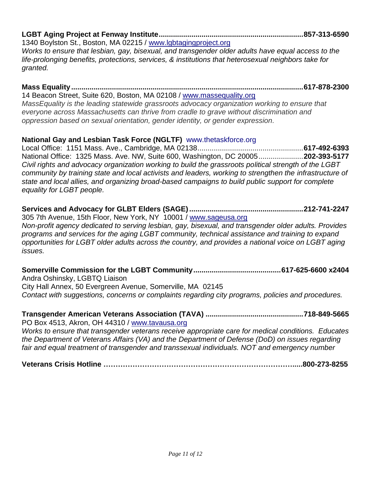# **LGBT Aging Project at Fenway Institute.......................................................................857-313-6590**

1340 Boylston St., Boston, MA 02215 / [www.lgbtagingproject.org](http://www.lgbtagingproject.org/) *Works to ensure that lesbian, gay, bisexual, and transgender older adults have equal access to the life-prolonging benefits, protections, services, & institutions that heterosexual neighbors take for granted.*

#### **Mass Equality..................................................................................................................617-878-2300** 14 Beacon Street, Suite 620, Boston, MA 02108 / [www.massequality.org](http://www.massequality.org/)

*MassEquality is the leading statewide grassroots advocacy organization working to ensure that everyone across Massachusetts can thrive from cradle to grave without discrimination and oppression based on sexual orientation, gender identity, or gender expression.*

## **National Gay and Lesbian Task Force (NGLTF)** www.thetaskforce.org

Local Office: 1151 Mass. Ave., Cambridge, MA 02138....................................................**617-492-6393** National Office: 1325 Mass. Ave. NW, Suite 600, Washington, DC 20005......................**202-393-5177** *Civil rights and advocacy organization working to build the grassroots political strength of the LGBT community by training state and local activists and leaders, working to strengthen the infrastructure of state and local allies, and organizing broad-based campaigns to build public support for complete equality for LGBT people.* 

**Services and Advocacy for GLBT Elders (SAGE)........................................................212-741-2247** 305 7th Avenue, 15th Floor, New York, NY 10001 / [www.sageusa.org](http://www.sageusa.org/) *Non-profit agency dedicated to serving lesbian, gay, bisexual, and transgender older adults. Provides programs and services for the aging LGBT community, technical assistance and training to expand* 

*opportunities for LGBT older adults across the country, and provides a national voice on LGBT aging issues.*

**Somerville Commission for the LGBT Community...........................................617-625-6600 x2404** Andra Oshinsky, LGBTQ Liaison City Hall Annex, 50 Evergreen Avenue, Somerville, MA 02145 *Contact with suggestions, concerns or complaints regarding city programs, policies and procedures.*

**Transgender American Veterans Association (TAVA) ................................................718-849-5665** PO Box 4513, Akron, OH 44310 / [www.tavausa.org](http://www.tavausa.org/) *Works to ensure that transgender veterans receive appropriate care for medical conditions. Educates the Department of Veterans Affairs (VA) and the Department of Defense (DoD) on issues regarding fair and equal treatment of transgender and transsexual individuals. NOT and emergency number*

**Veterans Crisis Hotline …………………………………………………………………….....800-273-8255**